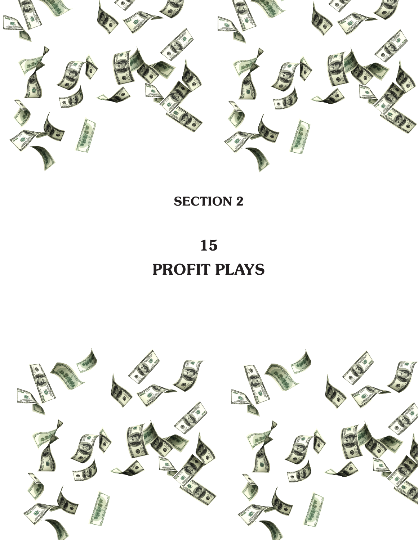

**SECTION 2** 

15 PROFIT PLAYS

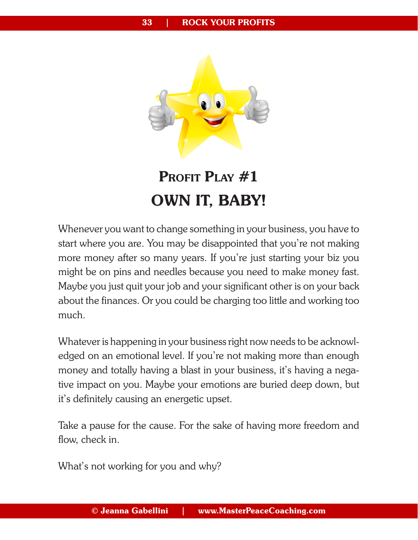

## **PROFIT PLAY #1** OWN IT, BABY!

Whenever you want to change something in your business, you have to start where you are. You may be disappointed that you're not making more money after so many years. If you're just starting your biz you might be on pins and needles because you need to make money fast. Maybe you just quit your job and your significant other is on your back about the finances. Or you could be charging too little and working too much.

Whatever is happening in your business right now needs to be acknowledged on an emotional level. If you're not making more than enough money and totally having a blast in your business, it's having a negative impact on you. Maybe your emotions are buried deep down, but it's definitely causing an energetic upset.

Take a pause for the cause. For the sake of having more freedom and flow, check in.

What's not working for you and why?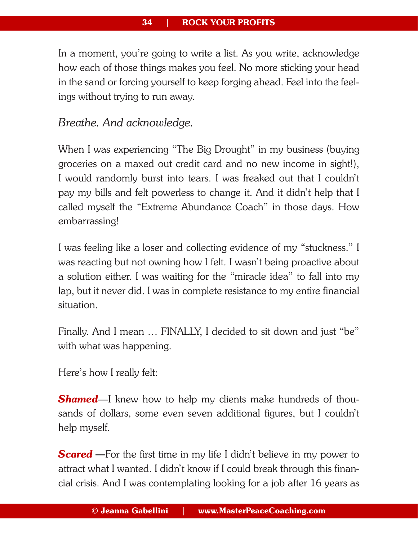In a moment, you're going to write a list. As you write, acknowledge how each of those things makes you feel. No more sticking your head in the sand or forcing yourself to keep forging ahead. Feel into the feelings without trying to run away.

## *Breathe. And acknowledge.*

When I was experiencing "The Big Drought" in my business (buying groceries on a maxed out credit card and no new income in sight!), I would randomly burst into tears. I was freaked out that I couldn't pay my bills and felt powerless to change it. And it didn't help that I called myself the "Extreme Abundance Coach" in those days. How embarrassing!

I was feeling like a loser and collecting evidence of my "stuckness." I was reacting but not owning how I felt. I wasn't being proactive about a solution either. I was waiting for the "miracle idea" to fall into my lap, but it never did. I was in complete resistance to my entire financial situation.

Finally. And I mean … FINALLY, I decided to sit down and just "be" with what was happening.

Here's how I really felt:

**Shamed**—I knew how to help my clients make hundreds of thousands of dollars, some even seven additional figures, but I couldn't help myself.

**Scared** – For the first time in my life I didn't believe in my power to attract what I wanted. I didn't know if I could break through this financial crisis. And I was contemplating looking for a job after 16 years as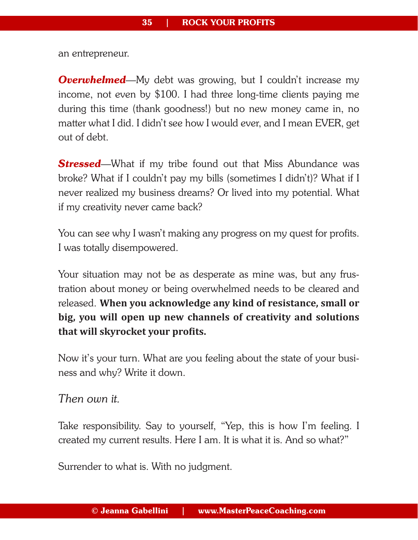an entrepreneur.

**Overwhelmed**—My debt was growing, but I couldn't increase my income, not even by \$100. I had three long-time clients paying me during this time (thank goodness!) but no new money came in, no matter what I did. I didn't see how I would ever, and I mean EVER, get out of debt.

**Stressed**—What if my tribe found out that Miss Abundance was broke? What if I couldn't pay my bills (sometimes I didn't)? What if I never realized my business dreams? Or lived into my potential. What if my creativity never came back?

You can see why I wasn't making any progress on my quest for profits. I was totally disempowered.

Your situation may not be as desperate as mine was, but any frustration about money or being overwhelmed needs to be cleared and released. **When you acknowledge any kind of resistance, small or big, you will open up new channels of creativity and solutions that will skyrocket your profits.**

Now it's your turn. What are you feeling about the state of your business and why? Write it down.

*Then own it.* 

Take responsibility. Say to yourself, "Yep, this is how I'm feeling. I created my current results. Here I am. It is what it is. And so what?"

Surrender to what is. With no judgment.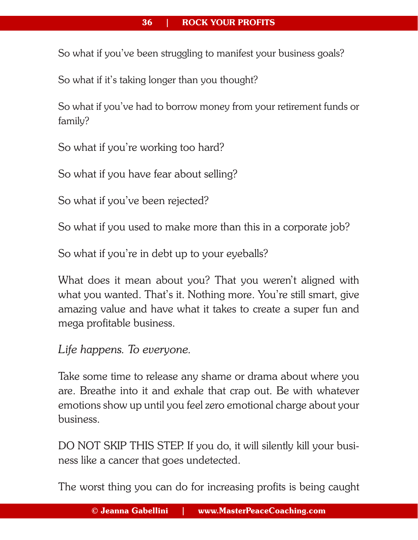## 36 | ROCK YOUR PROFITS

So what if you've been struggling to manifest your business goals?

So what if it's taking longer than you thought?

So what if you've had to borrow money from your retirement funds or family?

So what if you're working too hard?

So what if you have fear about selling?

So what if you've been rejected?

So what if you used to make more than this in a corporate job?

So what if you're in debt up to your eyeballs?

What does it mean about you? That you weren't aligned with what you wanted. That's it. Nothing more. You're still smart, give amazing value and have what it takes to create a super fun and mega profitable business.

*Life happens. To everyone.*

Take some time to release any shame or drama about where you are. Breathe into it and exhale that crap out. Be with whatever emotions show up until you feel zero emotional charge about your business.

DO NOT SKIP THIS STEP. If you do, it will silently kill your business like a cancer that goes undetected.

The worst thing you can do for increasing profits is being caught